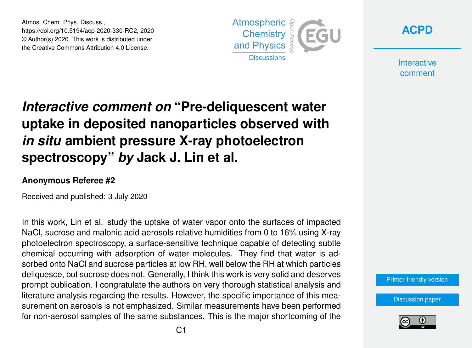Atmos. Chem. Phys. Discuss., https://doi.org/10.5194/acp-2020-330-RC2, 2020 © Author(s) 2020. This work is distributed under the Creative Commons Attribution 4.0 License.





**Interactive** comment

## *Interactive comment on* **"Pre-deliquescent water uptake in deposited nanoparticles observed with** *in situ* **ambient pressure X-ray photoelectron spectroscopy"** *by* **Jack J. Lin et al.**

## **Anonymous Referee #2**

Received and published: 3 July 2020

In this work, Lin et al. study the uptake of water vapor onto the surfaces of impacted NaCl, sucrose and malonic acid aerosols relative humidities from 0 to 16% using X-ray photoelectron spectroscopy, a surface-sensitive technique capable of detecting subtle chemical occurring with adsorption of water molecules. They find that water is adsorbed onto NaCl and sucrose particles at low RH, well below the RH at which particles deliquesce, but sucrose does not. Generally, I think this work is very solid and deserves prompt publication. I congratulate the authors on very thorough statistical analysis and literature analysis regarding the results. However, the specific importance of this measurement on aerosols is not emphasized. Similar measurements have been performed for non-aerosol samples of the same substances. This is the major shortcoming of the

[Printer-friendly version](https://www.atmos-chem-phys-discuss.net/acp-2020-330/acp-2020-330-RC2-print.pdf)

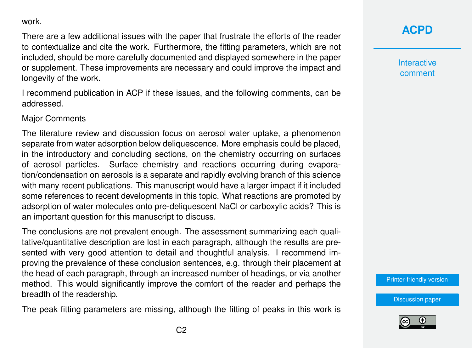work.

There are a few additional issues with the paper that frustrate the efforts of the reader to contextualize and cite the work. Furthermore, the fitting parameters, which are not included, should be more carefully documented and displayed somewhere in the paper or supplement. These improvements are necessary and could improve the impact and longevity of the work.

I recommend publication in ACP if these issues, and the following comments, can be addressed.

Major Comments

The literature review and discussion focus on aerosol water uptake, a phenomenon separate from water adsorption below deliquescence. More emphasis could be placed, in the introductory and concluding sections, on the chemistry occurring on surfaces of aerosol particles. Surface chemistry and reactions occurring during evaporation/condensation on aerosols is a separate and rapidly evolving branch of this science with many recent publications. This manuscript would have a larger impact if it included some references to recent developments in this topic. What reactions are promoted by adsorption of water molecules onto pre-deliquescent NaCl or carboxylic acids? This is an important question for this manuscript to discuss.

The conclusions are not prevalent enough. The assessment summarizing each qualitative/quantitative description are lost in each paragraph, although the results are presented with very good attention to detail and thoughtful analysis. I recommend improving the prevalence of these conclusion sentences, e.g. through their placement at the head of each paragraph, through an increased number of headings, or via another method. This would significantly improve the comfort of the reader and perhaps the breadth of the readership.

The peak fitting parameters are missing, although the fitting of peaks in this work is

## **[ACPD](https://www.atmos-chem-phys-discuss.net/)**

**Interactive** comment

[Printer-friendly version](https://www.atmos-chem-phys-discuss.net/acp-2020-330/acp-2020-330-RC2-print.pdf)

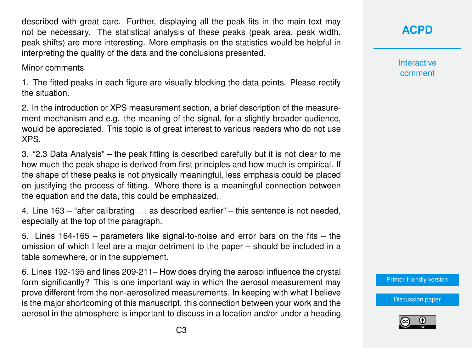described with great care. Further, displaying all the peak fits in the main text may not be necessary. The statistical analysis of these peaks (peak area, peak width, peak shifts) are more interesting. More emphasis on the statistics would be helpful in interpreting the quality of the data and the conclusions presented.

## Minor comments

1. The fitted peaks in each figure are visually blocking the data points. Please rectify the situation.

2. In the introduction or XPS measurement section, a brief description of the measurement mechanism and e.g. the meaning of the signal, for a slightly broader audience, would be appreciated. This topic is of great interest to various readers who do not use XPS.

3. "2.3 Data Analysis" – the peak fitting is described carefully but it is not clear to me how much the peak shape is derived from first principles and how much is empirical. If the shape of these peaks is not physically meaningful, less emphasis could be placed on justifying the process of fitting. Where there is a meaningful connection between the equation and the data, this could be emphasized.

4. Line 163 – "after calibrating . . . as described earlier" – this sentence is not needed, especially at the top of the paragraph.

5. Lines 164-165 – parameters like signal-to-noise and error bars on the fits – the omission of which I feel are a major detriment to the paper – should be included in a table somewhere, or in the supplement.

6. Lines 192-195 and lines 209-211– How does drying the aerosol influence the crystal form significantly? This is one important way in which the aerosol measurement may prove different from the non-aerosolized measurements. In keeping with what I believe is the major shortcoming of this manuscript, this connection between your work and the aerosol in the atmosphere is important to discuss in a location and/or under a heading **[ACPD](https://www.atmos-chem-phys-discuss.net/)**

**Interactive** comment

[Printer-friendly version](https://www.atmos-chem-phys-discuss.net/acp-2020-330/acp-2020-330-RC2-print.pdf)